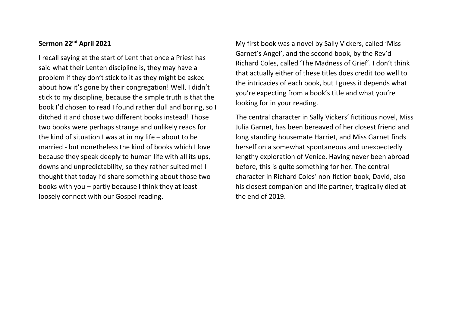## **Sermon 22nd April 2021**

I recall saying at the start of Lent that once a Priest has said what their Lenten discipline is, they may have a problem if they don't stick to it as they might be asked about how it's gone by their congregation! Well, I didn't stick to my discipline, because the simple truth is that the book I'd chosen to read I found rather dull and boring, so I ditched it and chose two different books instead! Those two books were perhaps strange and unlikely reads for the kind of situation I was at in my life – about to be married - but nonetheless the kind of books which I love because they speak deeply to human life with all its ups, downs and unpredictability, so they rather suited me! I thought that today I'd share something about those two books with you – partly because I think they at least loosely connect with our Gospel reading.

My first book was a novel by Sally Vickers, called 'Miss Garnet's Angel', and the second book, by the Rev'd Richard Coles, called 'The Madness of Grief'. I don't think that actually either of these titles does credit too well to the intricacies of each book, but I guess it depends what you're expecting from a book's title and what you're looking for in your reading.

The central character in Sally Vickers' fictitious novel, Miss Julia Garnet, has been bereaved of her closest friend and long standing housemate Harriet, and Miss Garnet finds herself on a somewhat spontaneous and unexpectedly lengthy exploration of Venice. Having never been abroad before, this is quite something for her. The central character in Richard Coles' non-fiction book, David, also his closest companion and life partner, tragically died at the end of 2019.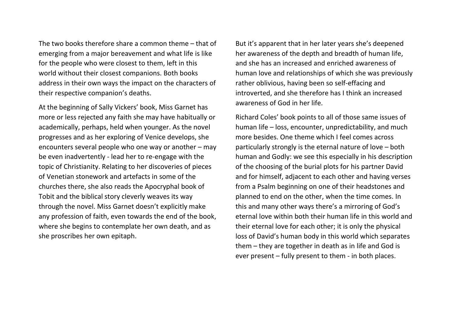The two books therefore share a common theme – that of emerging from a major bereavement and what life is like for the people who were closest to them, left in this world without their closest companions. Both books address in their own ways the impact on the characters of their respective companion's deaths.

At the beginning of Sally Vickers' book, Miss Garnet has more or less rejected any faith she may have habitually or academically, perhaps, held when younger. As the novel progresses and as her exploring of Venice develops, she encounters several people who one way or another – may be even inadvertently - lead her to re-engage with the topic of Christianity. Relating to her discoveries of pieces of Venetian stonework and artefacts in some of the churches there, she also reads the Apocryphal book of Tobit and the biblical story cleverly weaves its way through the novel. Miss Garnet doesn't explicitly make any profession of faith, even towards the end of the book, where she begins to contemplate her own death, and as she proscribes her own epitaph.

But it's apparent that in her later years she's deepened her awareness of the depth and breadth of human life, and she has an increased and enriched awareness of human love and relationships of which she was previously rather oblivious, having been so self-effacing and introverted, and she therefore has I think an increased awareness of God in her life.

Richard Coles' book points to all of those same issues of human life – loss, encounter, unpredictability, and much more besides. One theme which I feel comes across particularly strongly is the eternal nature of love – both human and Godly: we see this especially in his description of the choosing of the burial plots for his partner David and for himself, adjacent to each other and having verses from a Psalm beginning on one of their headstones and planned to end on the other, when the time comes. In this and many other ways there's a mirroring of God's eternal love within both their human life in this world and their eternal love for each other; it is only the physical loss of David's human body in this world which separates them – they are together in death as in life and God is ever present – fully present to them - in both places.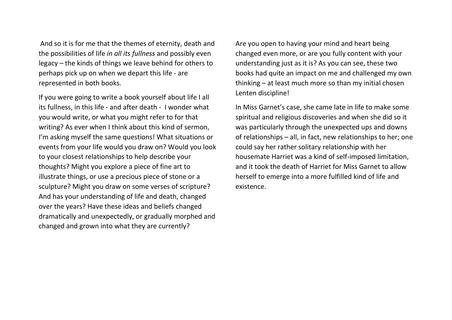And so it is for me that the themes of eternity, death and the possibilities of life *in all its fullness* and possibly even legacy – the kinds of things we leave behind for others to perhaps pick up on when we depart this life - are represented in both books.

If you were going to write a book yourself about life I all its fullness, in this life - and after death - I wonder what you would write, or what you might refer to for that writing? As ever when I think about this kind of sermon, I'm asking myself the same questions! What situations or events from your life would you draw on? Would you look to your closest relationships to help describe your thoughts? Might you explore a piece of fine art to illustrate things, or use a precious piece of stone or a sculpture? Might you draw on some verses of scripture? And has your understanding of life and death, changed over the years? Have these ideas and beliefs changed dramatically and unexpectedly, or gradually morphed and changed and grown into what they are currently?

Are you open to having your mind and heart being changed even more, or are you fully content with your understanding just as it is? As you can see, these two books had quite an impact on me and challenged my own thinking – at least much more so than my initial chosen Lenten discipline!

In Miss Garnet's case, she came late in life to make some spiritual and religious discoveries and when she did so it was particularly through the unexpected ups and downs of relationships – all, in fact, new relationships to her; one could say her rather solitary relationship with her housemate Harriet was a kind of self-imposed limitation, and it took the death of Harriet for Miss Garnet to allow herself to emerge into a more fulfilled kind of life and existence.